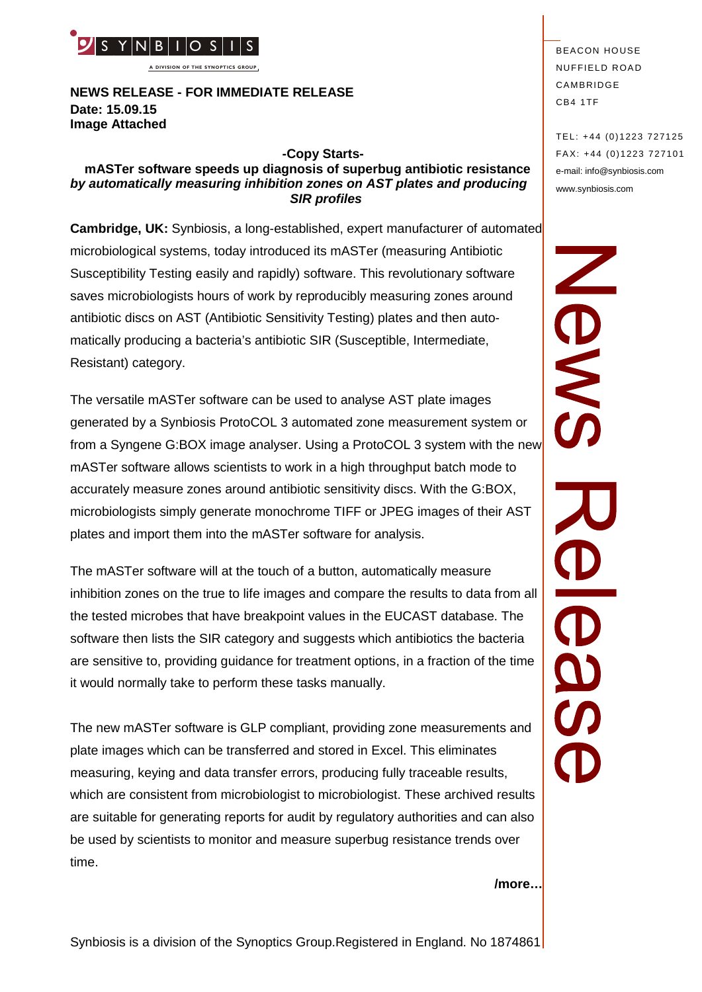

**A DIVISION OF THE SYNOPTICS GROUP**

**NEWS RELEASE - FOR IMMEDIATE RELEASE Date: 15.09.15 Image Attached**

#### **-Copy Starts-**

#### **mASTer software speeds up diagnosis of superbug antibiotic resistance** *by automatically measuring inhibition zones on AST plates and producing SIR profiles*

**Cambridge, UK:** Synbiosis, a long-established, expert manufacturer of automated microbiological systems, today introduced its mASTer (measuring Antibiotic Susceptibility Testing easily and rapidly) software. This revolutionary software saves microbiologists hours of work by reproducibly measuring zones around antibiotic discs on AST (Antibiotic Sensitivity Testing) plates and then automatically producing a bacteria's antibiotic SIR (Susceptible, Intermediate, Resistant) category.

The versatile mASTer software can be used to analyse AST plate images generated by a Synbiosis ProtoCOL 3 automated zone measurement system or from a Syngene G:BOX image analyser. Using a ProtoCOL 3 system with the new mASTer software allows scientists to work in a high throughput batch mode to accurately measure zones around antibiotic sensitivity discs. With the G:BOX, microbiologists simply generate monochrome TIFF or JPEG images of their AST plates and import them into the mASTer software for analysis.

The mASTer software will at the touch of a button, automatically measure inhibition zones on the true to life images and compare the results to data from all the tested microbes that have breakpoint values in the EUCAST database. The software then lists the SIR category and suggests which antibiotics the bacteria are sensitive to, providing guidance for treatment options, in a fraction of the time it would normally take to perform these tasks manually.

The new mASTer software is GLP compliant, providing zone measurements and plate images which can be transferred and stored in Excel. This eliminates measuring, keying and data transfer errors, producing fully traceable results, which are consistent from microbiologist to microbiologist. These archived results are suitable for generating reports for audit by regulatory authorities and can also be used by scientists to monitor and measure superbug resistance trends over time.

**BEACON HOUSE NUFFIELD ROAD** CAMBRIDGE CB4 1TF

SMO

TEL: +44 (0)1223 727125 FA X: +44 (0)1223 727101 e-mail: info@synbiosis.com www.synbiosis.com

**/more…**